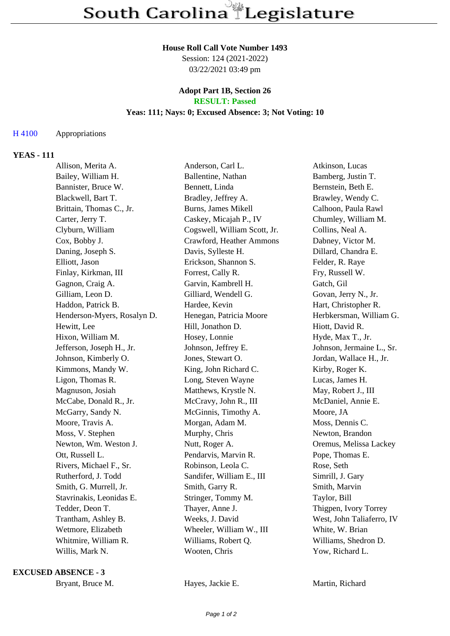#### **House Roll Call Vote Number 1493**

Session: 124 (2021-2022) 03/22/2021 03:49 pm

#### **Adopt Part 1B, Section 26 RESULT: Passed**

# **Yeas: 111; Nays: 0; Excused Absence: 3; Not Voting: 10**

## H 4100 Appropriations

## **YEAS - 111**

| Allison, Merita A.          | Anderson, Carl L.            | Atkinson, Lucas           |
|-----------------------------|------------------------------|---------------------------|
| Bailey, William H.          | Ballentine, Nathan           | Bamberg, Justin T.        |
| Bannister, Bruce W.         | Bennett, Linda               | Bernstein, Beth E.        |
| Blackwell, Bart T.          | Bradley, Jeffrey A.          | Brawley, Wendy C.         |
| Brittain, Thomas C., Jr.    | Burns, James Mikell          | Calhoon, Paula Rawl       |
| Carter, Jerry T.            | Caskey, Micajah P., IV       | Chumley, William M.       |
| Clyburn, William            | Cogswell, William Scott, Jr. | Collins, Neal A.          |
| Cox, Bobby J.               | Crawford, Heather Ammons     | Dabney, Victor M.         |
| Daning, Joseph S.           | Davis, Sylleste H.           | Dillard, Chandra E.       |
| Elliott, Jason              | Erickson, Shannon S.         | Felder, R. Raye           |
| Finlay, Kirkman, III        | Forrest, Cally R.            | Fry, Russell W.           |
| Gagnon, Craig A.            | Garvin, Kambrell H.          | Gatch, Gil                |
| Gilliam, Leon D.            | Gilliard, Wendell G.         | Govan, Jerry N., Jr.      |
| Haddon, Patrick B.          | Hardee, Kevin                | Hart, Christopher R.      |
| Henderson-Myers, Rosalyn D. | Henegan, Patricia Moore      | Herbkersman, William G.   |
| Hewitt, Lee                 | Hill, Jonathon D.            | Hiott, David R.           |
| Hixon, William M.           | Hosey, Lonnie                | Hyde, Max T., Jr.         |
| Jefferson, Joseph H., Jr.   | Johnson, Jeffrey E.          | Johnson, Jermaine L., Sr. |
| Johnson, Kimberly O.        | Jones, Stewart O.            | Jordan, Wallace H., Jr.   |
| Kimmons, Mandy W.           | King, John Richard C.        | Kirby, Roger K.           |
| Ligon, Thomas R.            | Long, Steven Wayne           | Lucas, James H.           |
| Magnuson, Josiah            | Matthews, Krystle N.         | May, Robert J., III       |
| McCabe, Donald R., Jr.      | McCravy, John R., III        | McDaniel, Annie E.        |
| McGarry, Sandy N.           | McGinnis, Timothy A.         | Moore, JA                 |
| Moore, Travis A.            | Morgan, Adam M.              | Moss, Dennis C.           |
| Moss, V. Stephen            | Murphy, Chris                | Newton, Brandon           |
| Newton, Wm. Weston J.       | Nutt, Roger A.               | Oremus, Melissa Lackey    |
| Ott, Russell L.             | Pendarvis, Marvin R.         | Pope, Thomas E.           |
| Rivers, Michael F., Sr.     | Robinson, Leola C.           | Rose, Seth                |
| Rutherford, J. Todd         | Sandifer, William E., III    | Simrill, J. Gary          |
| Smith, G. Murrell, Jr.      | Smith, Garry R.              | Smith, Marvin             |
| Stavrinakis, Leonidas E.    | Stringer, Tommy M.           | Taylor, Bill              |
| Tedder, Deon T.             | Thayer, Anne J.              | Thigpen, Ivory Torrey     |
| Trantham, Ashley B.         | Weeks, J. David              | West, John Taliaferro, IV |
| Wetmore, Elizabeth          | Wheeler, William W., III     | White, W. Brian           |
| Whitmire, William R.        | Williams, Robert Q.          | Williams, Shedron D.      |
| Willis, Mark N.             | Wooten, Chris                | Yow, Richard L.           |

#### **EXCUSED ABSENCE - 3**

Bryant, Bruce M. **Hayes, Jackie E.** Martin, Richard